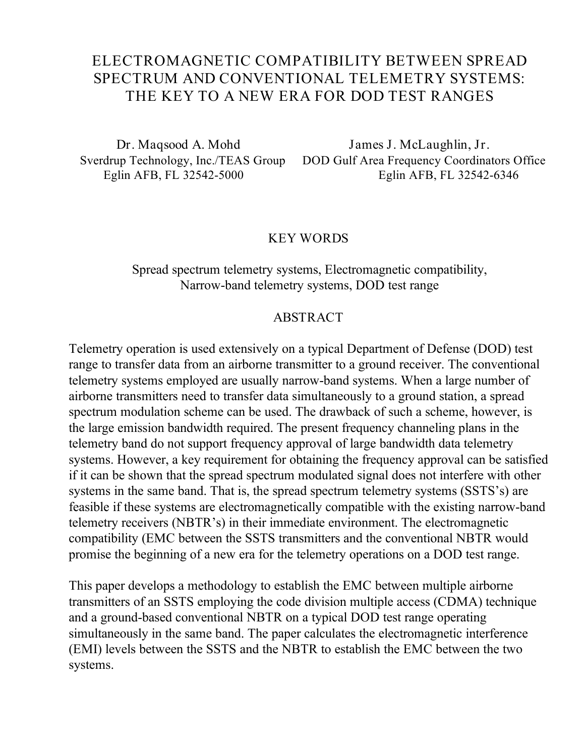# **ELECTROMAGNETIC COMPATIBILITY BETWEEN SPREAD SPECTRUM AND CONVENTIONAL TELEMETRY SYSTEMS: THE KEY TO A NEW ERA FOR DOD TEST RANGES**

**Dr. Maqsood A. Mohd James J. McLaughlin, Jr.** Sverdrup Technology, Inc./TEAS Group DOD Gulf Area Frequency Coordinators Office Eglin AFB, FL 32542-5000 Eglin AFB, FL 32542-6346

#### **KEY WORDS**

# Spread spectrum telemetry systems, Electromagnetic compatibility, Narrow-band telemetry systems, DOD test range

### **ABSTRACT**

Telemetry operation is used extensively on a typical Department of Defense (DOD) test range to transfer data from an airborne transmitter to a ground receiver. The conventional telemetry systems employed are usually narrow-band systems. When a large number of airborne transmitters need to transfer data simultaneously to a ground station, a spread spectrum modulation scheme can be used. The drawback of such a scheme, however, is the large emission bandwidth required. The present frequency channeling plans in the telemetry band do not support frequency approval of large bandwidth data telemetry systems. However, a key requirement for obtaining the frequency approval can be satisfied if it can be shown that the spread spectrum modulated signal does not interfere with other systems in the same band. That is, the spread spectrum telemetry systems (SSTS's) are feasible if these systems are electromagnetically compatible with the existing narrow-band telemetry receivers (NBTR's) in their immediate environment. The electromagnetic compatibility (EMC between the SSTS transmitters and the conventional NBTR would promise the beginning of a new era for the telemetry operations on a DOD test range.

This paper develops a methodology to establish the EMC between multiple airborne transmitters of an SSTS employing the code division multiple access (CDMA) technique and a ground-based conventional NBTR on a typical DOD test range operating simultaneously in the same band. The paper calculates the electromagnetic interference (EMI) levels between the SSTS and the NBTR to establish the EMC between the two systems.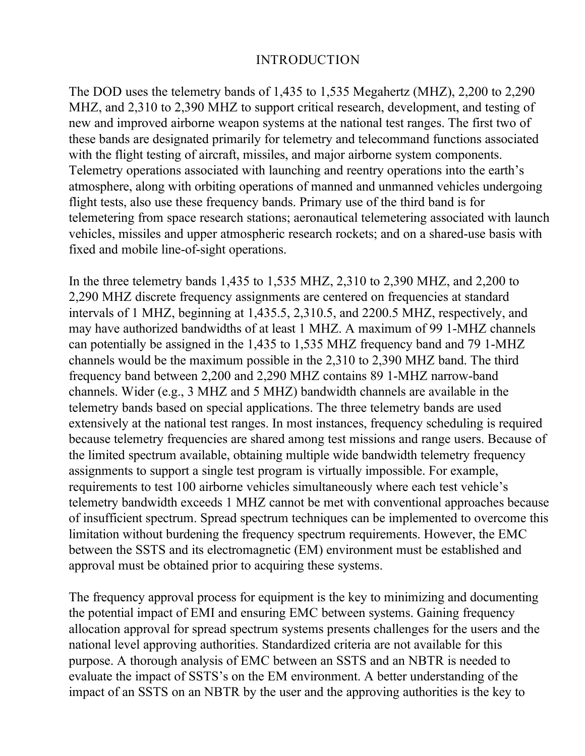# **INTRODUCTION**

The DOD uses the telemetry bands of 1,435 to 1,535 Megahertz (MHZ), 2,200 to 2,290 MHZ, and 2,310 to 2,390 MHZ to support critical research, development, and testing of new and improved airborne weapon systems at the national test ranges. The first two of these bands are designated primarily for telemetry and telecommand functions associated with the flight testing of aircraft, missiles, and major airborne system components. Telemetry operations associated with launching and reentry operations into the earth's atmosphere, along with orbiting operations of manned and unmanned vehicles undergoing flight tests, also use these frequency bands. Primary use of the third band is for telemetering from space research stations; aeronautical telemetering associated with launch vehicles, missiles and upper atmospheric research rockets; and on a shared-use basis with fixed and mobile line-of-sight operations.

In the three telemetry bands 1,435 to 1,535 MHZ, 2,310 to 2,390 MHZ, and 2,200 to 2,290 MHZ discrete frequency assignments are centered on frequencies at standard intervals of 1 MHZ, beginning at 1,435.5, 2,310.5, and 2200.5 MHZ, respectively, and may have authorized bandwidths of at least 1 MHZ. A maximum of 99 1-MHZ channels can potentially be assigned in the 1,435 to 1,535 MHZ frequency band and 79 1-MHZ channels would be the maximum possible in the 2,310 to 2,390 MHZ band. The third frequency band between 2,200 and 2,290 MHZ contains 89 1-MHZ narrow-band channels. Wider (e.g., 3 MHZ and 5 MHZ) bandwidth channels are available in the telemetry bands based on special applications. The three telemetry bands are used extensively at the national test ranges. In most instances, frequency scheduling is required because telemetry frequencies are shared among test missions and range users. Because of the limited spectrum available, obtaining multiple wide bandwidth telemetry frequency assignments to support a single test program is virtually impossible. For example, requirements to test 100 airborne vehicles simultaneously where each test vehicle's telemetry bandwidth exceeds 1 MHZ cannot be met with conventional approaches because of insufficient spectrum. Spread spectrum techniques can be implemented to overcome this limitation without burdening the frequency spectrum requirements. However, the EMC between the SSTS and its electromagnetic (EM) environment must be established and approval must be obtained prior to acquiring these systems.

The frequency approval process for equipment is the key to minimizing and documenting the potential impact of EMI and ensuring EMC between systems. Gaining frequency allocation approval for spread spectrum systems presents challenges for the users and the national level approving authorities. Standardized criteria are not available for this purpose. A thorough analysis of EMC between an SSTS and an NBTR is needed to evaluate the impact of SSTS's on the EM environment. A better understanding of the impact of an SSTS on an NBTR by the user and the approving authorities is the key to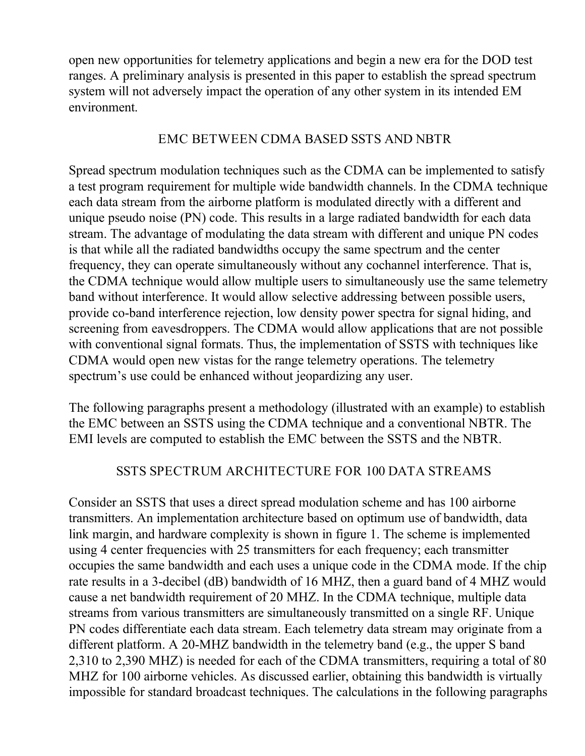open new opportunities for telemetry applications and begin a new era for the DOD test ranges. A preliminary analysis is presented in this paper to establish the spread spectrum system will not adversely impact the operation of any other system in its intended EM environment.

# **EMC BETWEEN CDMA BASED SSTS AND NBTR**

Spread spectrum modulation techniques such as the CDMA can be implemented to satisfy a test program requirement for multiple wide bandwidth channels. In the CDMA technique each data stream from the airborne platform is modulated directly with a different and unique pseudo noise (PN) code. This results in a large radiated bandwidth for each data stream. The advantage of modulating the data stream with different and unique PN codes is that while all the radiated bandwidths occupy the same spectrum and the center frequency, they can operate simultaneously without any cochannel interference. That is, the CDMA technique would allow multiple users to simultaneously use the same telemetry band without interference. It would allow selective addressing between possible users, provide co-band interference rejection, low density power spectra for signal hiding, and screening from eavesdroppers. The CDMA would allow applications that are not possible with conventional signal formats. Thus, the implementation of SSTS with techniques like CDMA would open new vistas for the range telemetry operations. The telemetry spectrum's use could be enhanced without jeopardizing any user.

The following paragraphs present a methodology (illustrated with an example) to establish the EMC between an SSTS using the CDMA technique and a conventional NBTR. The EMI levels are computed to establish the EMC between the SSTS and the NBTR.

# **SSTS SPECTRUM ARCHITECTURE FOR 100 DATA STREAMS**

Consider an SSTS that uses a direct spread modulation scheme and has 100 airborne transmitters. An implementation architecture based on optimum use of bandwidth, data link margin, and hardware complexity is shown in figure 1. The scheme is implemented using 4 center frequencies with 25 transmitters for each frequency; each transmitter occupies the same bandwidth and each uses a unique code in the CDMA mode. If the chip rate results in a 3-decibel (dB) bandwidth of 16 MHZ, then a guard band of 4 MHZ would cause a net bandwidth requirement of 20 MHZ. In the CDMA technique, multiple data streams from various transmitters are simultaneously transmitted on a single RF. Unique PN codes differentiate each data stream. Each telemetry data stream may originate from a different platform. A 20-MHZ bandwidth in the telemetry band (e.g., the upper S band 2,310 to 2,390 MHZ) is needed for each of the CDMA transmitters, requiring a total of 80 MHZ for 100 airborne vehicles. As discussed earlier, obtaining this bandwidth is virtually impossible for standard broadcast techniques. The calculations in the following paragraphs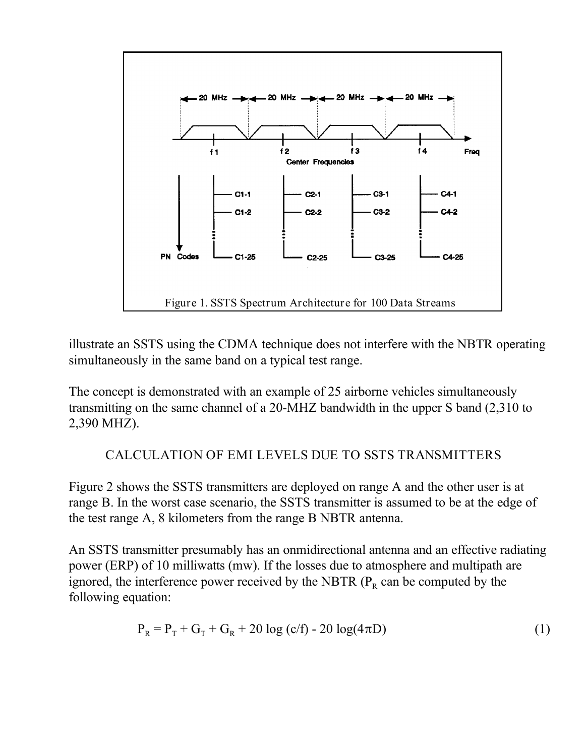

illustrate an SSTS using the CDMA technique does not interfere with the NBTR operating simultaneously in the same band on a typical test range.

The concept is demonstrated with an example of 25 airborne vehicles simultaneously transmitting on the same channel of a 20-MHZ bandwidth in the upper S band (2,310 to 2,390 MHZ).

# **CALCULATION OF EMI LEVELS DUE TO SSTS TRANSMITTERS**

Figure 2 shows the SSTS transmitters are deployed on range A and the other user is at range B. In the worst case scenario, the SSTS transmitter is assumed to be at the edge of the test range A, 8 kilometers from the range B NBTR antenna.

An SSTS transmitter presumably has an onmidirectional antenna and an effective radiating power (ERP) of 10 milliwatts (mw). If the losses due to atmosphere and multipath are ignored, the interference power received by the NBTR ( $P<sub>R</sub>$  can be computed by the following equation:

$$
P_R = P_T + G_T + G_R + 20 \log (c/f) - 20 \log(4\pi D)
$$
 (1)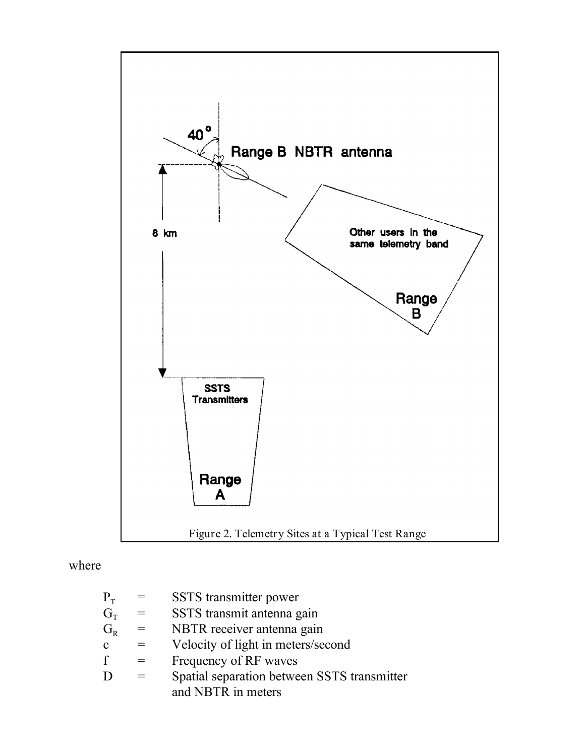

where

| $P_T$        | $=$ | SSTS transmitter power                      |
|--------------|-----|---------------------------------------------|
| $G_{\rm T}$  | $=$ | SSTS transmit antenna gain                  |
| $G_R$        | $=$ | NBTR receiver antenna gain                  |
| $\mathbf{c}$ |     | Velocity of light in meters/second          |
|              | $=$ | Frequency of RF waves                       |
|              | $=$ | Spatial separation between SSTS transmitter |
|              |     | and NBTR in meters                          |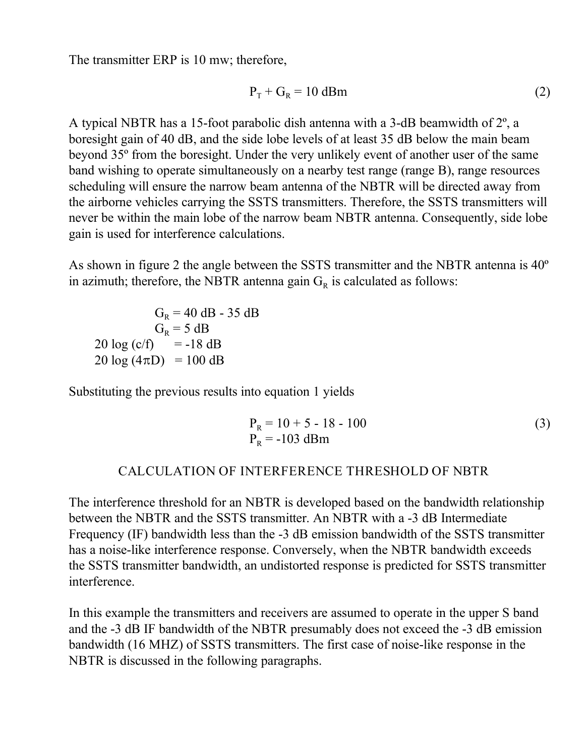The transmitter ERP is 10 mw; therefore,

$$
P_T + G_R = 10 \text{ dBm}
$$
 (2)

A typical NBTR has a 15-foot parabolic dish antenna with a 3-dB beamwidth of 2º, a boresight gain of 40 dB, and the side lobe levels of at least 35 dB below the main beam beyond 35º from the boresight. Under the very unlikely event of another user of the same band wishing to operate simultaneously on a nearby test range (range B), range resources scheduling will ensure the narrow beam antenna of the NBTR will be directed away from the airborne vehicles carrying the SSTS transmitters. Therefore, the SSTS transmitters will never be within the main lobe of the narrow beam NBTR antenna. Consequently, side lobe gain is used for interference calculations.

As shown in figure 2 the angle between the SSTS transmitter and the NBTR antenna is 40º in azimuth; therefore, the NBTR antenna gain  $G_R$  is calculated as follows:

 $G_R = 40$  dB - 35 dB  $G_R = 5 dB$  $20 \log (c/f) = -18 dB$  $20 \log (4 \pi D) = 100 \text{ dB}$ 

Substituting the previous results into equation 1 yields

$$
P_R = 10 + 5 - 18 - 100
$$
  
\n
$$
P_R = -103 \text{ dBm}
$$
 (3)

### **CALCULATION OF INTERFERENCE THRESHOLD OF NBTR**

The interference threshold for an NBTR is developed based on the bandwidth relationship between the NBTR and the SSTS transmitter. An NBTR with a -3 dB Intermediate Frequency (IF) bandwidth less than the -3 dB emission bandwidth of the SSTS transmitter has a noise-like interference response. Conversely, when the NBTR bandwidth exceeds the SSTS transmitter bandwidth, an undistorted response is predicted for SSTS transmitter interference.

In this example the transmitters and receivers are assumed to operate in the upper S band and the -3 dB IF bandwidth of the NBTR presumably does not exceed the -3 dB emission bandwidth (16 MHZ) of SSTS transmitters. The first case of noise-like response in the NBTR is discussed in the following paragraphs.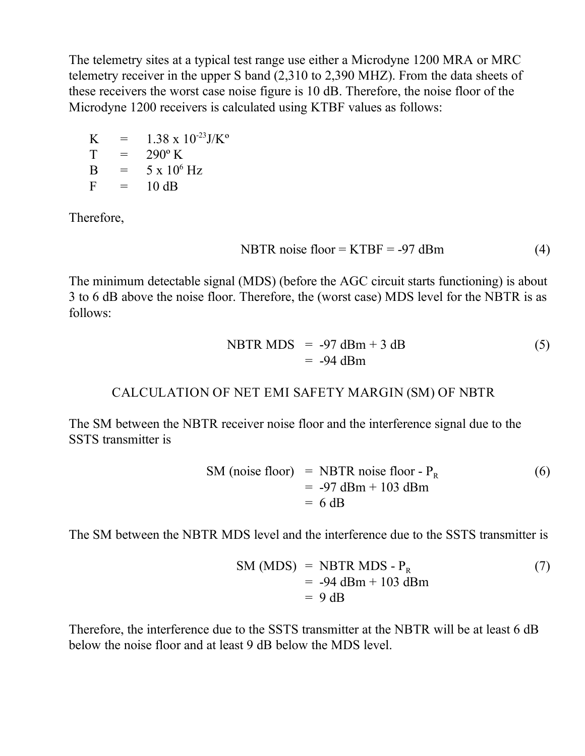The telemetry sites at a typical test range use either a Microdyne 1200 MRA or MRC telemetry receiver in the upper S band (2,310 to 2,390 MHZ). From the data sheets of these receivers the worst case noise figure is 10 dB. Therefore, the noise floor of the Microdyne 1200 receivers is calculated using KTBF values as follows:

 $K = 1.38 \times 10^{-23}$ J/K<sup>o</sup>  $T = 290^{\circ} K$  $B = 5 \times 10^6$  Hz  $F = 10 dB$ 

Therefore,

$$
NBTR noise floor = KTBF = -97 dBm
$$
 (4)

The minimum detectable signal (MDS) (before the AGC circuit starts functioning) is about 3 to 6 dB above the noise floor. Therefore, the (worst case) MDS level for the NBTR is as follows:

$$
NBTR MDS = -97 \text{ dBm} + 3 \text{ dB}
$$
  
= -94 dBm (5)

### **CALCULATION OF NET EMI SAFETY MARGIN (SM) OF NBTR**

The SM between the NBTR receiver noise floor and the interference signal due to the SSTS transmitter is

$$
SM (noise floor) = NBTR noise floor - PR
$$
  
= -97 dBm + 103 dBm  
= 6 dB

The SM between the NBTR MDS level and the interference due to the SSTS transmitter is

$$
SM (MDS) = NBTR MDS - PR
$$
  
= -94 dBm + 103 dBm  
= 9 dB

Therefore, the interference due to the SSTS transmitter at the NBTR will be at least 6 dB below the noise floor and at least 9 dB below the MDS level.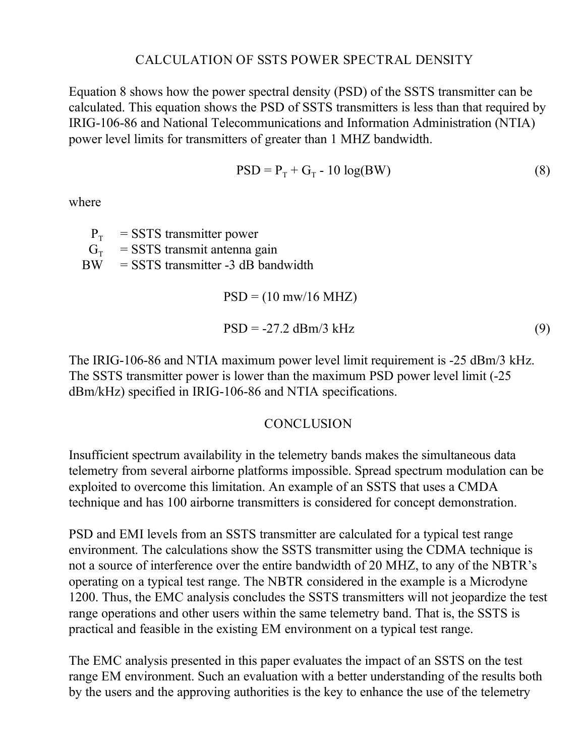# **CALCULATION OF SSTS POWER SPECTRAL DENSITY**

Equation 8 shows how the power spectral density (PSD) of the SSTS transmitter can be calculated. This equation shows the PSD of SSTS transmitters is less than that required by IRIG-106-86 and National Telecommunications and Information Administration (NTIA) power level limits for transmitters of greater than 1 MHZ bandwidth.

$$
PSD = PT + GT - 10 log(BW)
$$
 (8)

where

 $P_T$  = SSTS transmitter power  $G_T$  = SSTS transmit antenna gain  $BW = SSTS$  transmitter -3 dB bandwidth  $PSD = (10 \text{ mw}/16 \text{ MHz})$ 

$$
PSD = -27.2 \text{ dBm}/3 \text{ kHz}
$$
 (9)

The IRIG-106-86 and NTIA maximum power level limit requirement is -25 dBm/3 kHz. The SSTS transmitter power is lower than the maximum PSD power level limit (-25 dBm/kHz) specified in IRIG-106-86 and NTIA specifications.

# **CONCLUSION**

Insufficient spectrum availability in the telemetry bands makes the simultaneous data telemetry from several airborne platforms impossible. Spread spectrum modulation can be exploited to overcome this limitation. An example of an SSTS that uses a CMDA technique and has 100 airborne transmitters is considered for concept demonstration.

PSD and EMI levels from an SSTS transmitter are calculated for a typical test range environment. The calculations show the SSTS transmitter using the CDMA technique is not a source of interference over the entire bandwidth of 20 MHZ, to any of the NBTR's operating on a typical test range. The NBTR considered in the example is a Microdyne 1200. Thus, the EMC analysis concludes the SSTS transmitters will not jeopardize the test range operations and other users within the same telemetry band. That is, the SSTS is practical and feasible in the existing EM environment on a typical test range.

The EMC analysis presented in this paper evaluates the impact of an SSTS on the test range EM environment. Such an evaluation with a better understanding of the results both by the users and the approving authorities is the key to enhance the use of the telemetry